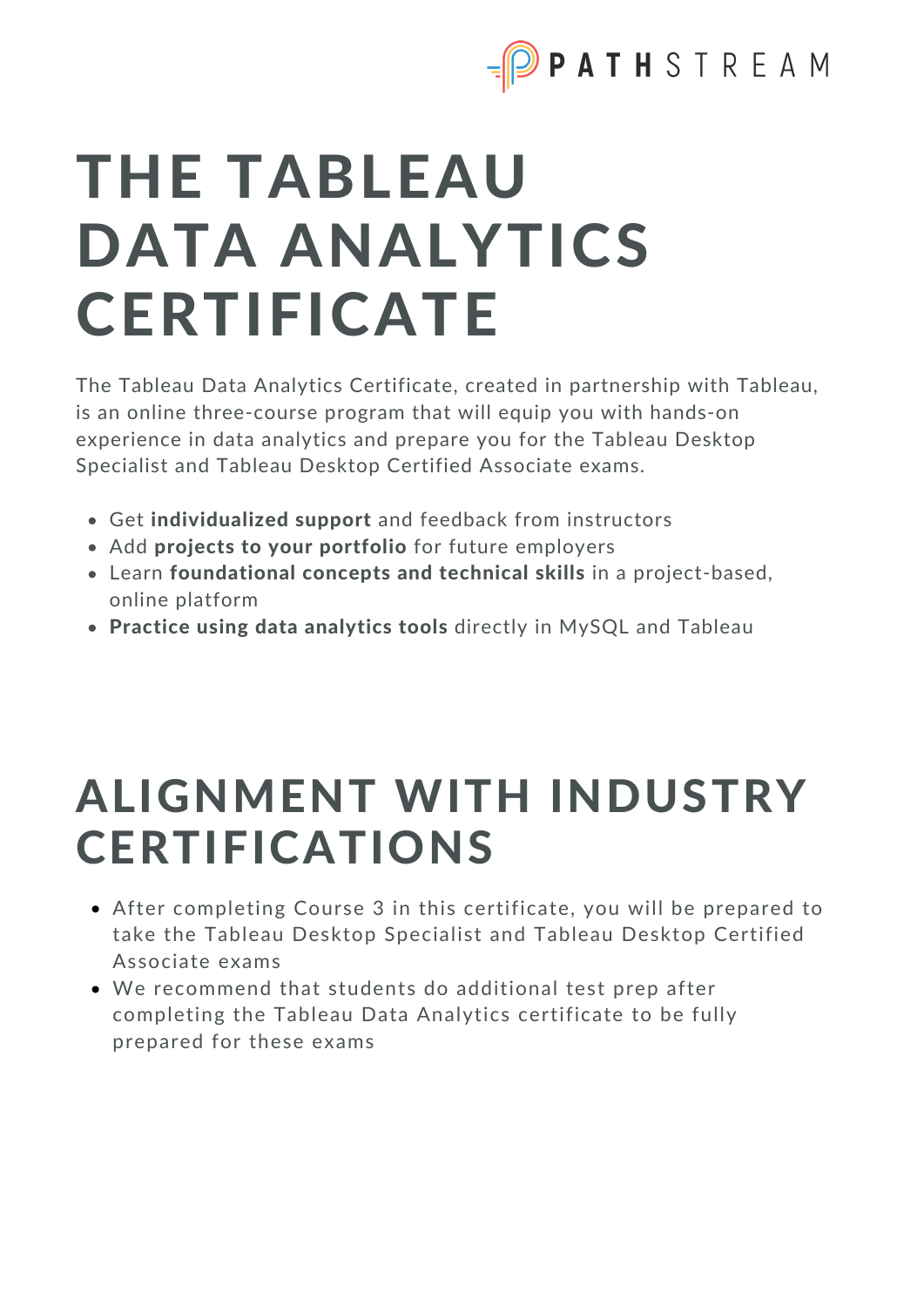

# THE TABLEAU DATA ANALYTICS **CERTIFICATE**

The Tableau Data Analytics Certificate, created in partnership with Tableau, is an online three-course program that will equip you with hands-on experience in data analytics and prepare you for the Tableau Desktop Specialist and Tableau Desktop Certified Associate exams.

- Get individualized support and feedback from instructors
- Add projects to your portfolio for future employers
- Learn foundational concepts and technical skills in a project-based, online platform
- Practice using data analytics tools directly in MySQL and Tableau

# ALIGNMENT WITH INDUSTRY CERTIFICATIONS

- After completing Course 3 in this certificate, you will be prepared to take the Tableau Desktop Specialist and Tableau Desktop Certified Associate exams
- We recommend that students do additional test prep after completing the Tableau Data Analytics certificate to be fully prepared for these exams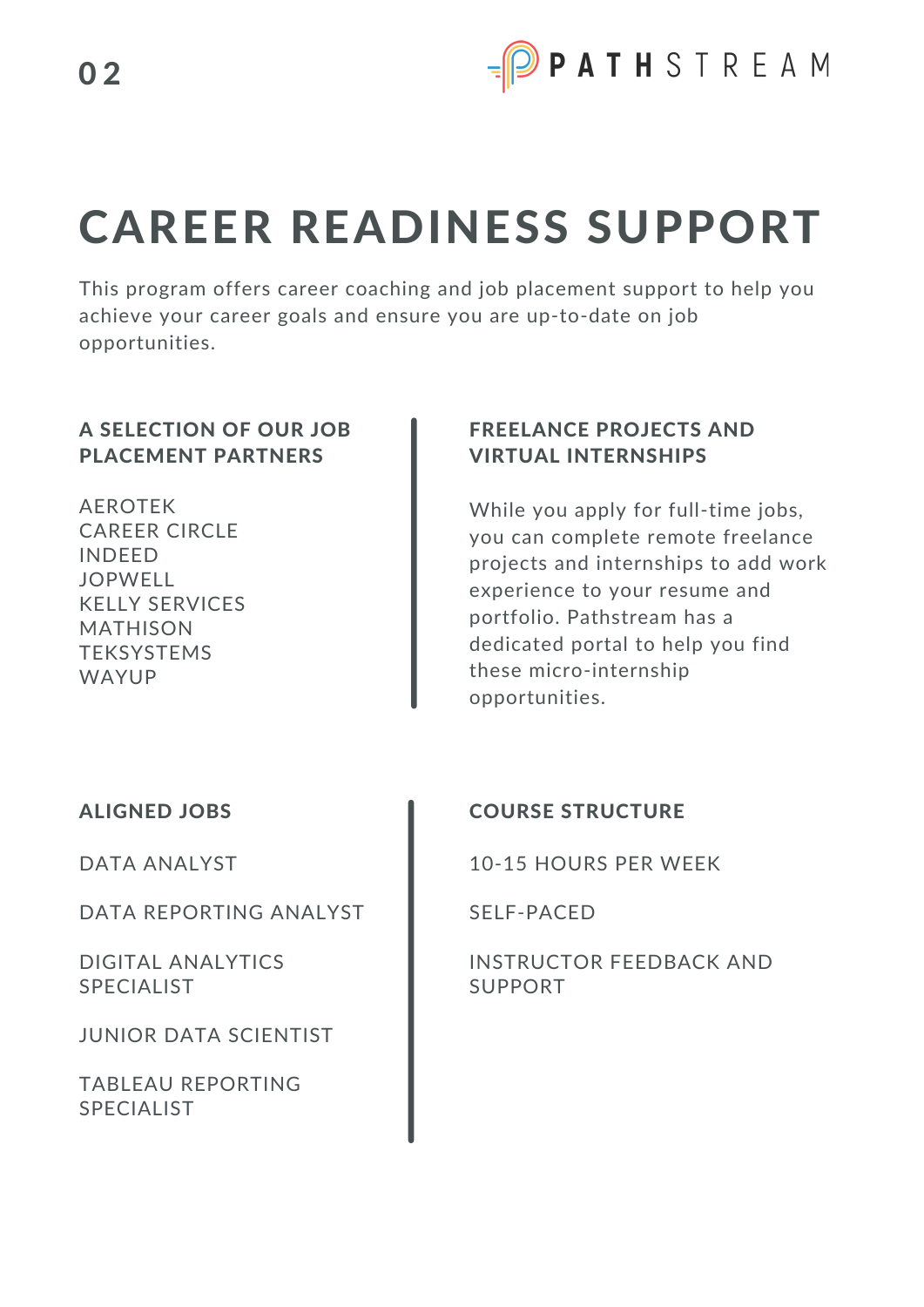

# CAREER READINESS SUPPORT

This program offers career coaching and job placement support to help you achieve your career goals and ensure you are up-to-date on job opportunities.

#### A SELECTION OF OUR JOB PLACEMENT PARTNERS

AEROTEK CAREER CIRCLE INDEED JOPWELL KELLY SERVICES MATHISON **TEKSYSTEMS** WAYUP

#### FREELANCE PROJECTS AND VIRTUAL INTERNSHIPS

While you apply for full-time jobs, you can complete remote freelance projects and internships to add work experience to your resume and portfolio. Pathstream has a dedicated portal to help you find these micro-internship opportunities.

#### ALIGNED JOBS

DATA ANALYST

DATA REPORTING ANALYST

DIGITAL ANALYTICS SPECIALIST

JUNIOR DATA SCIENTIST

TABLEAU REPORTING SPECIALIST

#### COURSE STRUCTURE

10-15 HOURS PER WEEK

SELF-PACED

INSTRUCTOR FEEDBACK AND SUPPORT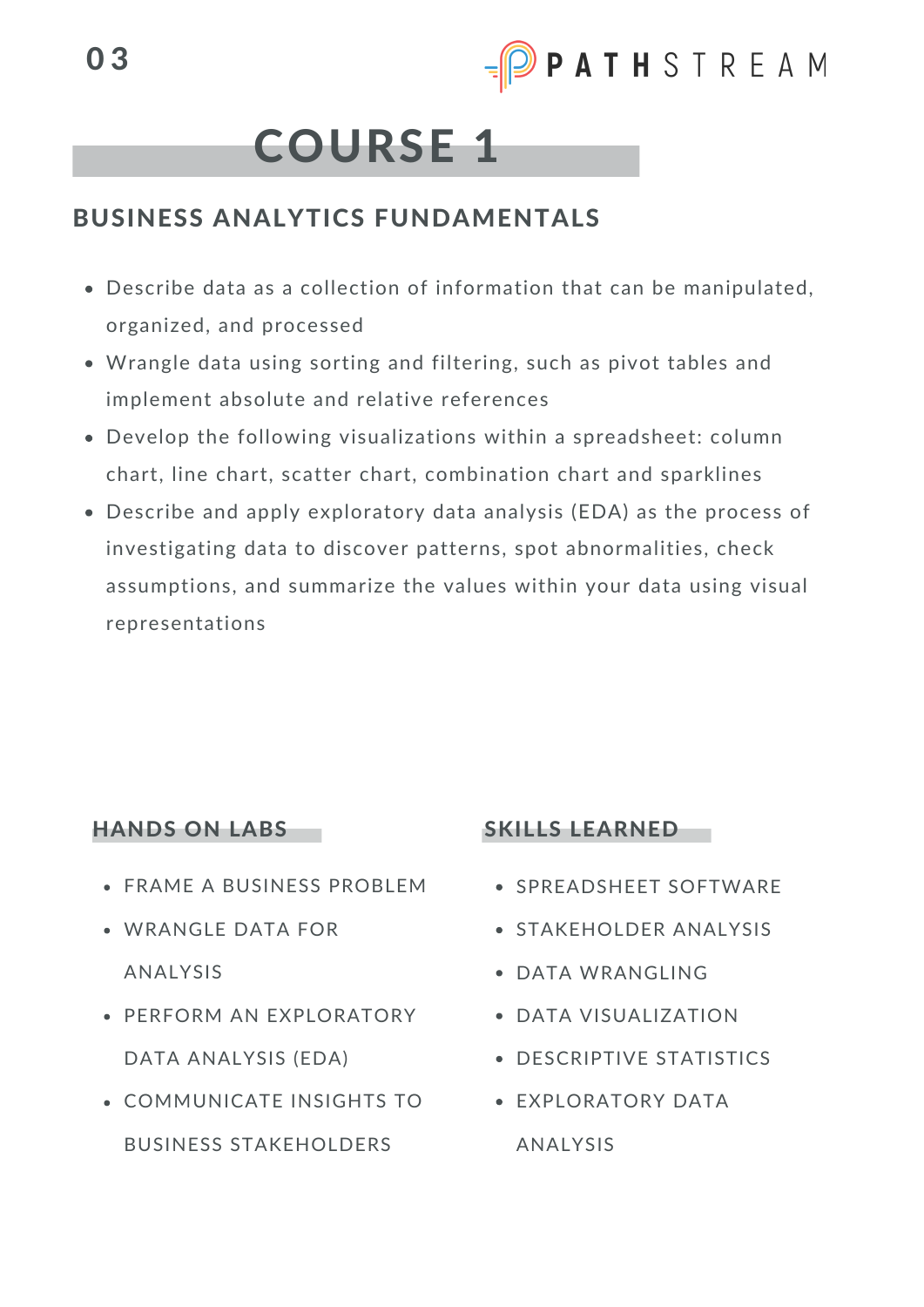

## COURSE 1

### BUSINESS ANALYTICS FUNDAMENTALS

- Describe data as a collection of information that can be manipulated, organized, and processed
- Wrangle data using sorting and filtering, such as pivot tables and implement absolute and relative references
- Develop the following visualizations within a spreadsheet: column chart, line chart, scatter chart, combination chart and sparklines
- Describe and apply exploratory data analysis (EDA) as the process of investigating data to discover patterns, spot abnormalities, check assumptions, and summarize the values within your data using visual representations

#### HANDS ON LABS

- FRAME A BUSINESS PROBLEM
- WRANGLE DATA FOR ANALYSIS
- PERFORM AN EXPLORATORY DATA ANALYSIS (EDA)
- COMMUNICATE INSIGHTS TO BUSINESS STAKEHOLDERS

#### SKILLS LEARNED

- **SPREADSHEET SOFTWARE**
- **STAKEHOLDER ANALYSIS**
- DATA WRANGLING
- DATA VISUALIZATION
- DESCRIPTIVE STATISTICS
- **FXPLORATORY DATA** ANALYSIS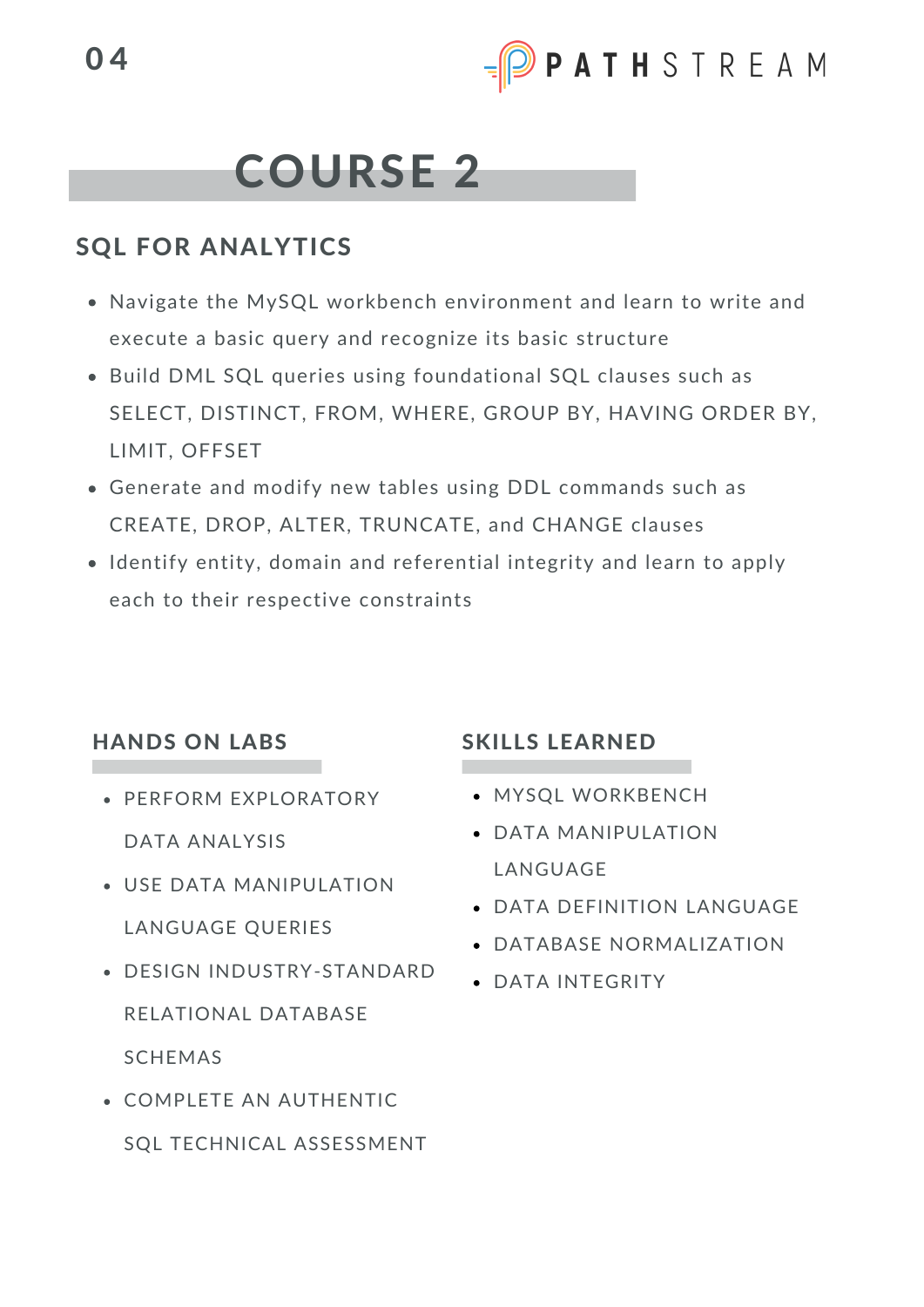

## COURSE 2

### SQL FOR ANALYTICS

- Navigate the MySQL workbench environment and learn to write and execute a basic query and recognize its basic structure
- Build DML SQL queries using foundational SQL clauses such as SELECT, DISTINCT, FROM, WHERE, GROUP BY, HAVING ORDER BY, LIMIT, OFFSET
- Generate and modify new tables using DDL commands such as CREATE, DROP, ALTER, TRUNCATE, and CHANGE clauses
- Identify entity, domain and referential integrity and learn to apply each to their respective constraints

#### HANDS ON LABS

- PERFORM EXPLORATORY DATA ANALYSIS
- USE DATA MANIPULATION LANGUAGE QUERIES
- DESIGN INDUSTRY-STANDARD RELATIONAL DATABASE SCHEMAS
- COMPLETE AN AUTHENTIC SQL TECHNICAL ASSESSMENT

#### SKILLS LEARNED

- **MYSQL WORKBENCH**
- DATA MANIPULATION LANGUAGE
- DATA DEFINITION LANGUAGE
- DATABASE NORMALIZATION
- DATA INTEGRITY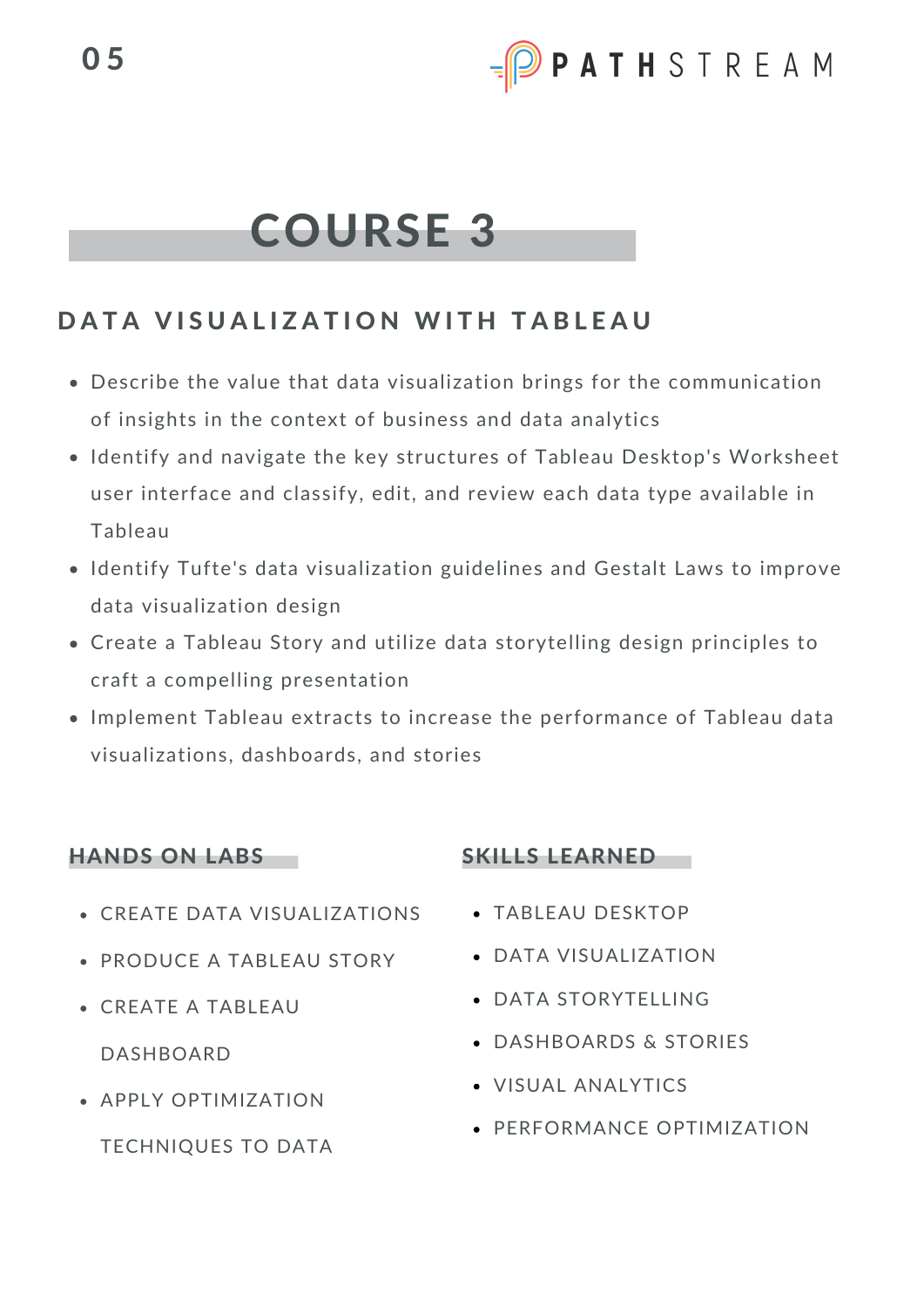# COURSE 3

## DATA VISUALIZATION WITH TABLEAU

- Describe the value that data visualization brings for the communication of insights in the context of business and data analytics
- Identify and navigate the key structures of Tableau Desktop's Worksheet user interface and classify, edit, and review each data type available in Tableau
- Identify Tufte's data visualization guidelines and Gestalt Laws to improve data visualization design
- Create a Tableau Story and utilize data storytelling design principles to craft a compelling presentation
- Implement Tableau extracts to increase the performance of Tableau data visualizations, dashboards, and stories

#### HANDS ON LABS

- CREATE DATA VISUALIZATIONS
- PRODUCE A TABLEAU STORY
- CREATE A TABLEAU

DASHBOARD

APPLY OPTIMIZATION

TECHNIQUES TO DATA

#### SKILLS LEARNED

- TABLEAU DESKTOP
- DATA VISUALIZATION
- DATA STORYTELLING
- DASHBOARDS & STORIES
- VISUAL ANALYTICS
- **PERFORMANCE OPTIMIZATION**